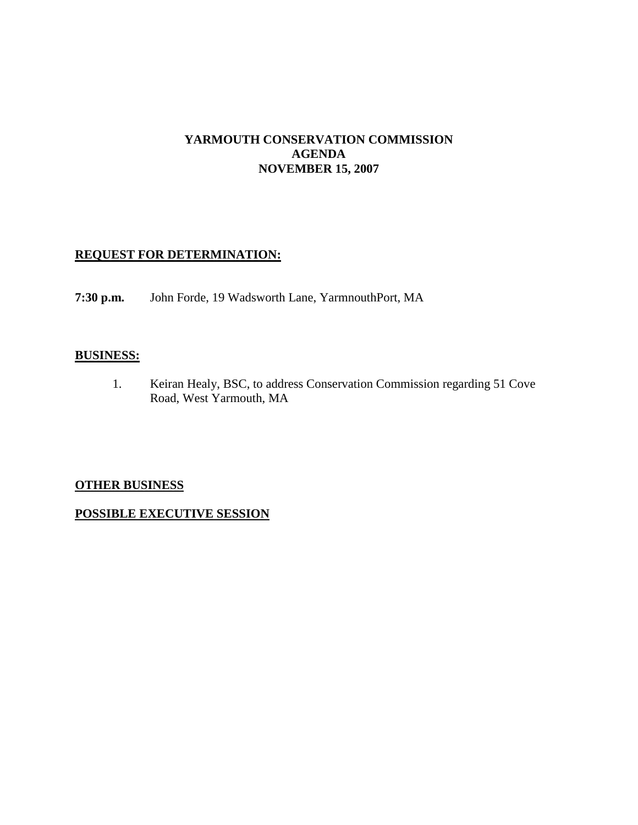## **YARMOUTH CONSERVATION COMMISSION AGENDA NOVEMBER 15, 2007**

## **REQUEST FOR DETERMINATION:**

**7:30 p.m.** John Forde, 19 Wadsworth Lane, YarmnouthPort, MA

#### **BUSINESS:**

1. Keiran Healy, BSC, to address Conservation Commission regarding 51 Cove Road, West Yarmouth, MA

## **OTHER BUSINESS**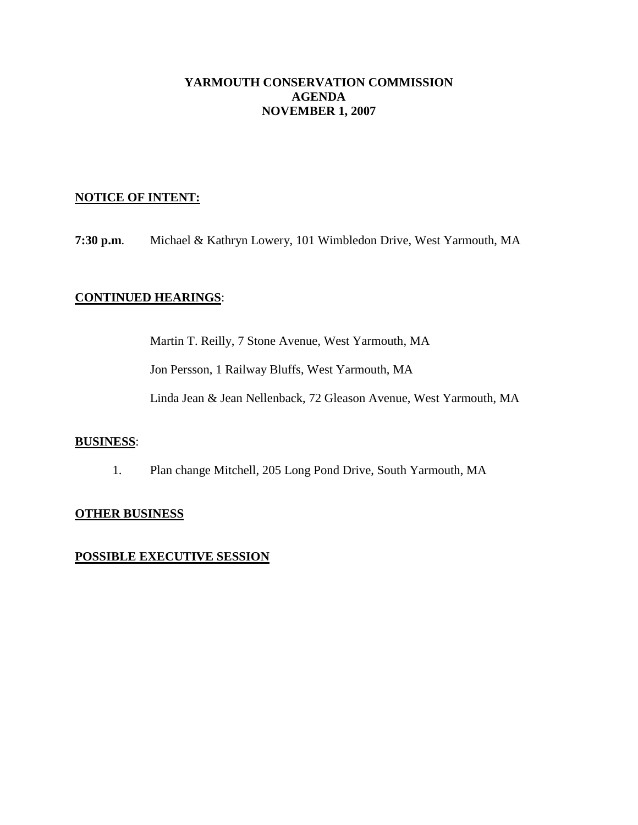### **YARMOUTH CONSERVATION COMMISSION AGENDA NOVEMBER 1, 2007**

### **NOTICE OF INTENT:**

**7:30 p.m**. Michael & Kathryn Lowery, 101 Wimbledon Drive, West Yarmouth, MA

### **CONTINUED HEARINGS**:

Martin T. Reilly, 7 Stone Avenue, West Yarmouth, MA

Jon Persson, 1 Railway Bluffs, West Yarmouth, MA

Linda Jean & Jean Nellenback, 72 Gleason Avenue, West Yarmouth, MA

#### **BUSINESS**:

1. Plan change Mitchell, 205 Long Pond Drive, South Yarmouth, MA

#### **OTHER BUSINESS**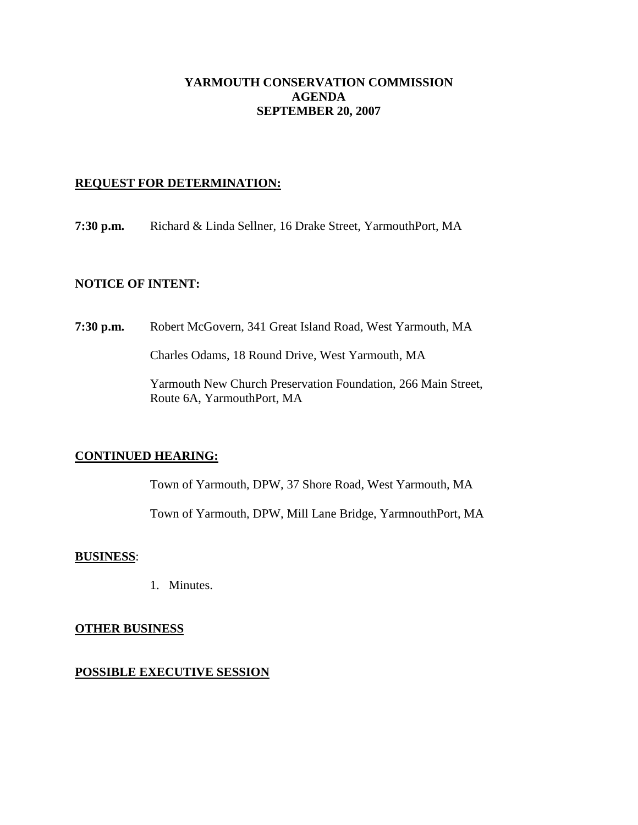### **YARMOUTH CONSERVATION COMMISSION AGENDA SEPTEMBER 20, 2007**

### **REQUEST FOR DETERMINATION:**

**7:30 p.m.** Richard & Linda Sellner, 16 Drake Street, YarmouthPort, MA

### **NOTICE OF INTENT:**

**7:30 p.m.** Robert McGovern, 341 Great Island Road, West Yarmouth, MA

Charles Odams, 18 Round Drive, West Yarmouth, MA

Yarmouth New Church Preservation Foundation, 266 Main Street, Route 6A, YarmouthPort, MA

## **CONTINUED HEARING:**

Town of Yarmouth, DPW, 37 Shore Road, West Yarmouth, MA

Town of Yarmouth, DPW, Mill Lane Bridge, YarmnouthPort, MA

#### **BUSINESS**:

1. Minutes.

#### **OTHER BUSINESS**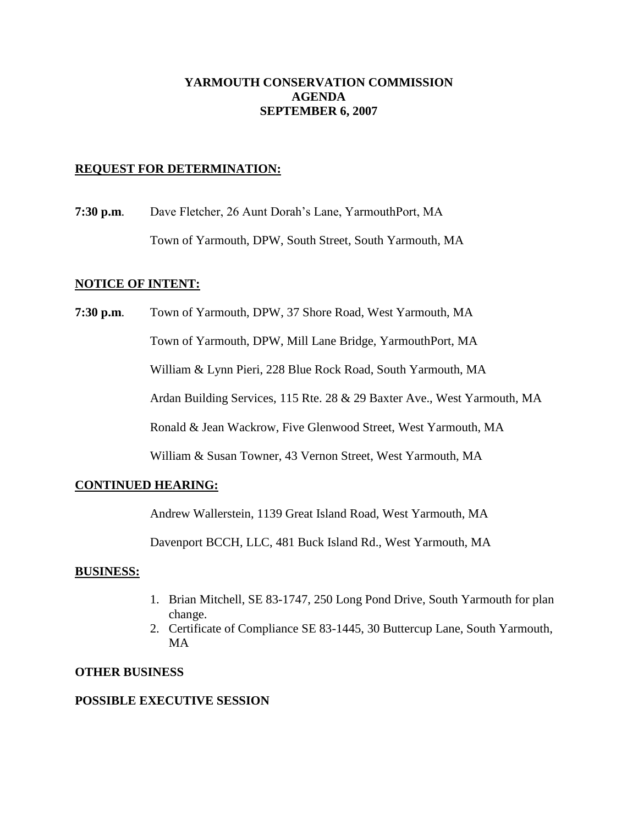## **YARMOUTH CONSERVATION COMMISSION AGENDA SEPTEMBER 6, 2007**

### **REQUEST FOR DETERMINATION:**

**7:30 p.m**. Dave Fletcher, 26 Aunt Dorah's Lane, YarmouthPort, MA Town of Yarmouth, DPW, South Street, South Yarmouth, MA

#### **NOTICE OF INTENT:**

**7:30 p.m**. Town of Yarmouth, DPW, 37 Shore Road, West Yarmouth, MA Town of Yarmouth, DPW, Mill Lane Bridge, YarmouthPort, MA William & Lynn Pieri, 228 Blue Rock Road, South Yarmouth, MA Ardan Building Services, 115 Rte. 28 & 29 Baxter Ave., West Yarmouth, MA Ronald & Jean Wackrow, Five Glenwood Street, West Yarmouth, MA William & Susan Towner, 43 Vernon Street, West Yarmouth, MA

## **CONTINUED HEARING:**

Andrew Wallerstein, 1139 Great Island Road, West Yarmouth, MA

Davenport BCCH, LLC, 481 Buck Island Rd., West Yarmouth, MA

#### **BUSINESS:**

- 1. Brian Mitchell, SE 83-1747, 250 Long Pond Drive, South Yarmouth for plan change.
- 2. Certificate of Compliance SE 83-1445, 30 Buttercup Lane, South Yarmouth, MA

#### **OTHER BUSINESS**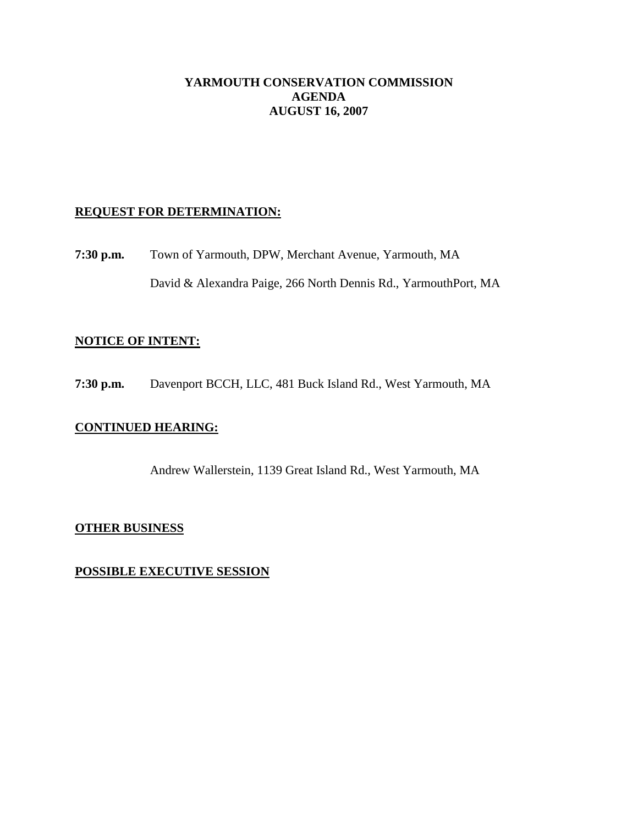### **YARMOUTH CONSERVATION COMMISSION AGENDA AUGUST 16, 2007**

### **REQUEST FOR DETERMINATION:**

**7:30 p.m.** Town of Yarmouth, DPW, Merchant Avenue, Yarmouth, MA David & Alexandra Paige, 266 North Dennis Rd., YarmouthPort, MA

### **NOTICE OF INTENT:**

**7:30 p.m.** Davenport BCCH, LLC, 481 Buck Island Rd., West Yarmouth, MA

#### **CONTINUED HEARING:**

Andrew Wallerstein, 1139 Great Island Rd., West Yarmouth, MA

#### **OTHER BUSINESS**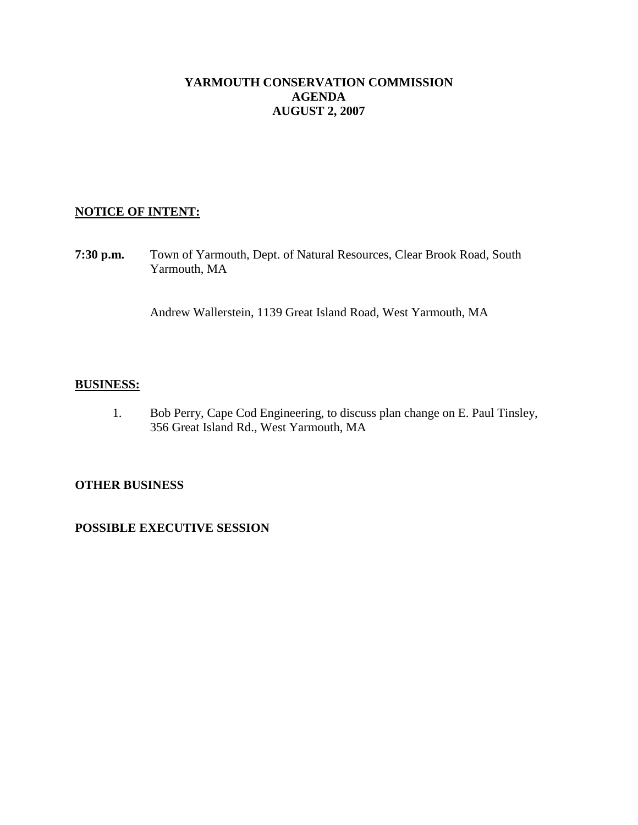### **YARMOUTH CONSERVATION COMMISSION AGENDA AUGUST 2, 2007**

## **NOTICE OF INTENT:**

**7:30 p.m.** Town of Yarmouth, Dept. of Natural Resources, Clear Brook Road, South Yarmouth, MA

Andrew Wallerstein, 1139 Great Island Road, West Yarmouth, MA

### **BUSINESS:**

1. Bob Perry, Cape Cod Engineering, to discuss plan change on E. Paul Tinsley, 356 Great Island Rd., West Yarmouth, MA

## **OTHER BUSINESS**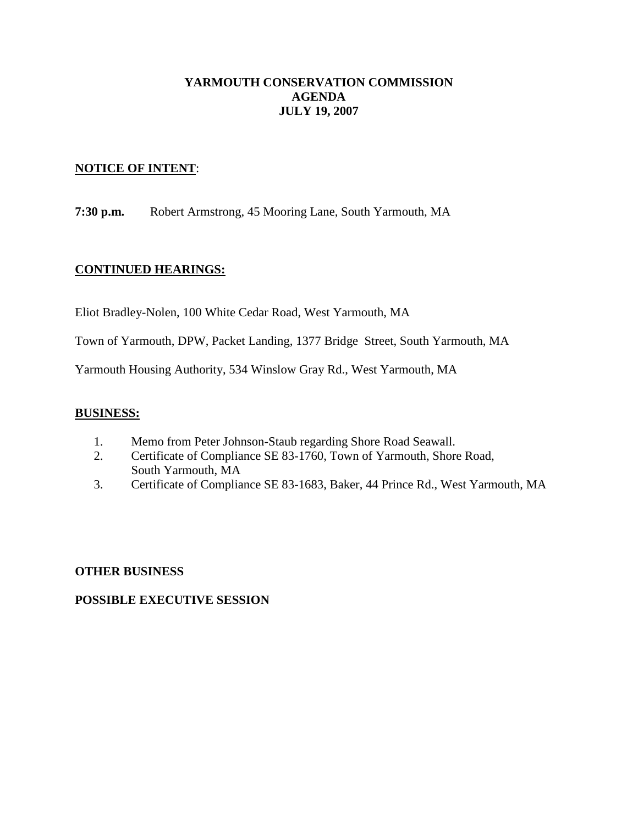## **YARMOUTH CONSERVATION COMMISSION AGENDA JULY 19, 2007**

### **NOTICE OF INTENT**:

**7:30 p.m.** Robert Armstrong, 45 Mooring Lane, South Yarmouth, MA

## **CONTINUED HEARINGS:**

Eliot Bradley-Nolen, 100 White Cedar Road, West Yarmouth, MA

Town of Yarmouth, DPW, Packet Landing, 1377 Bridge Street, South Yarmouth, MA

Yarmouth Housing Authority, 534 Winslow Gray Rd., West Yarmouth, MA

#### **BUSINESS:**

- 1. Memo from Peter Johnson-Staub regarding Shore Road Seawall.
- 2. Certificate of Compliance SE 83-1760, Town of Yarmouth, Shore Road, South Yarmouth, MA
- 3. Certificate of Compliance SE 83-1683, Baker, 44 Prince Rd., West Yarmouth, MA

#### **OTHER BUSINESS**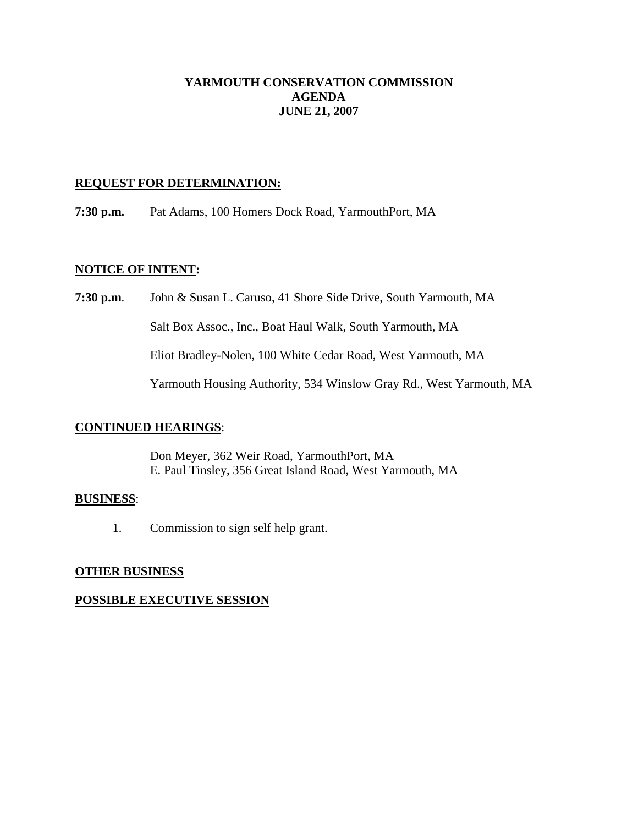## **YARMOUTH CONSERVATION COMMISSION AGENDA JUNE 21, 2007**

### **REQUEST FOR DETERMINATION:**

**7:30 p.m.** Pat Adams, 100 Homers Dock Road, YarmouthPort, MA

#### **NOTICE OF INTENT:**

**7:30 p.m**. John & Susan L. Caruso, 41 Shore Side Drive, South Yarmouth, MA Salt Box Assoc., Inc., Boat Haul Walk, South Yarmouth, MA Eliot Bradley-Nolen, 100 White Cedar Road, West Yarmouth, MA Yarmouth Housing Authority, 534 Winslow Gray Rd., West Yarmouth, MA

## **CONTINUED HEARINGS**:

Don Meyer, 362 Weir Road, YarmouthPort, MA E. Paul Tinsley, 356 Great Island Road, West Yarmouth, MA

#### **BUSINESS**:

1. Commission to sign self help grant.

## **OTHER BUSINESS**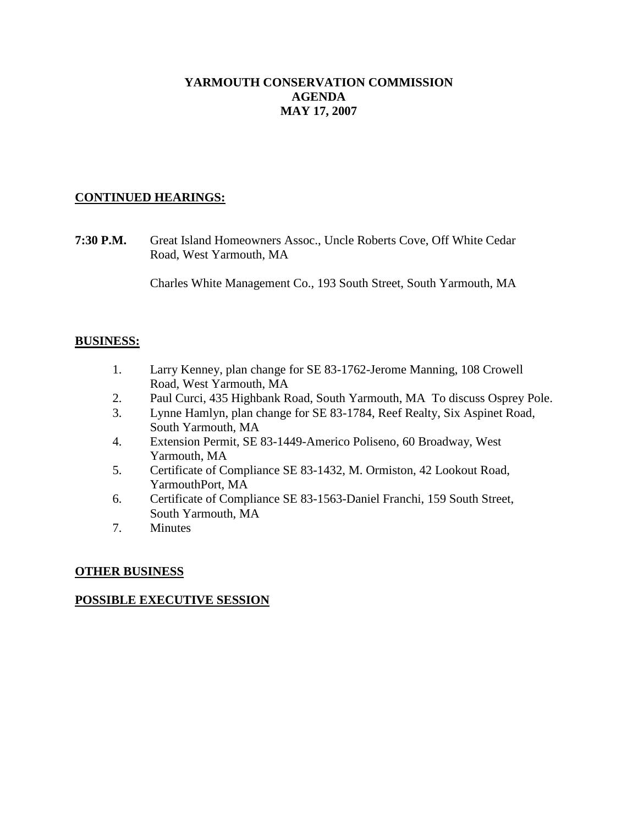## **YARMOUTH CONSERVATION COMMISSION AGENDA MAY 17, 2007**

## **CONTINUED HEARINGS:**

**7:30 P.M.** Great Island Homeowners Assoc., Uncle Roberts Cove, Off White Cedar Road, West Yarmouth, MA

Charles White Management Co., 193 South Street, South Yarmouth, MA

### **BUSINESS:**

- 1. Larry Kenney, plan change for SE 83-1762-Jerome Manning, 108 Crowell Road, West Yarmouth, MA
- 2. Paul Curci, 435 Highbank Road, South Yarmouth, MA To discuss Osprey Pole.
- 3. Lynne Hamlyn, plan change for SE 83-1784, Reef Realty, Six Aspinet Road, South Yarmouth, MA
- 4. Extension Permit, SE 83-1449-Americo Poliseno, 60 Broadway, West Yarmouth, MA
- 5. Certificate of Compliance SE 83-1432, M. Ormiston, 42 Lookout Road, YarmouthPort, MA
- 6. Certificate of Compliance SE 83-1563-Daniel Franchi, 159 South Street, South Yarmouth, MA
- 7. Minutes

## **OTHER BUSINESS**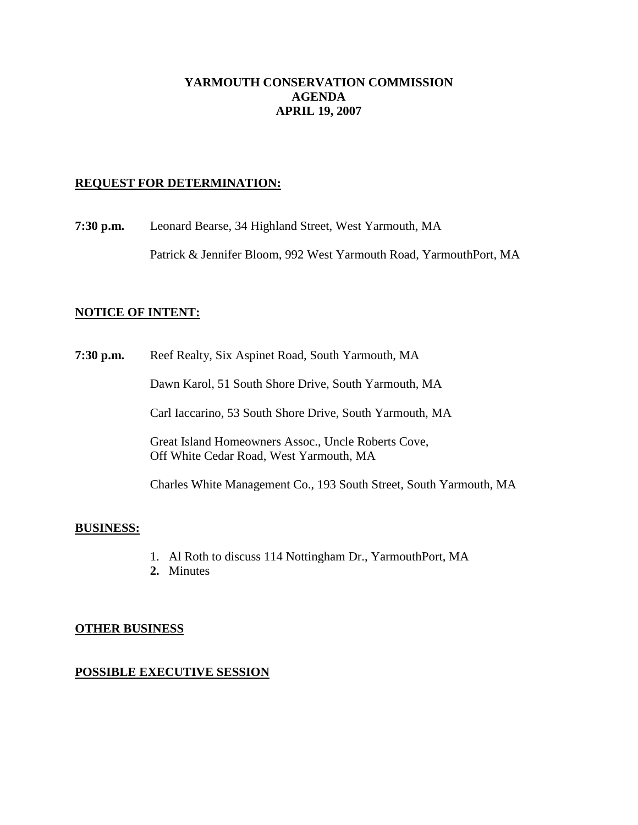### **YARMOUTH CONSERVATION COMMISSION AGENDA APRIL 19, 2007**

### **REQUEST FOR DETERMINATION:**

**7:30 p.m.** Leonard Bearse, 34 Highland Street, West Yarmouth, MA

Patrick & Jennifer Bloom, 992 West Yarmouth Road, YarmouthPort, MA

#### **NOTICE OF INTENT:**

**7:30 p.m.** Reef Realty, Six Aspinet Road, South Yarmouth, MA

Dawn Karol, 51 South Shore Drive, South Yarmouth, MA

Carl Iaccarino, 53 South Shore Drive, South Yarmouth, MA

Great Island Homeowners Assoc., Uncle Roberts Cove, Off White Cedar Road, West Yarmouth, MA

Charles White Management Co., 193 South Street, South Yarmouth, MA

#### **BUSINESS:**

- 1. Al Roth to discuss 114 Nottingham Dr., YarmouthPort, MA
- **2.** Minutes

#### **OTHER BUSINESS**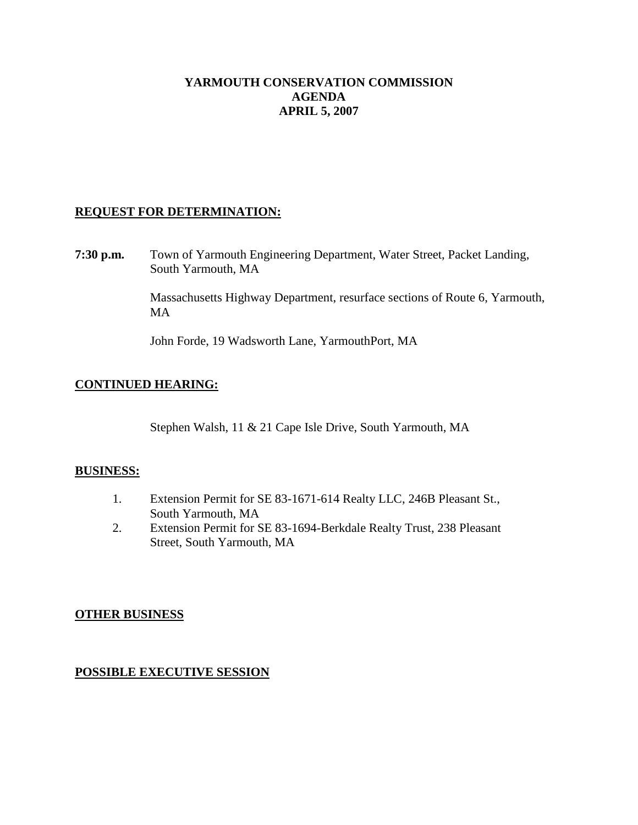## **YARMOUTH CONSERVATION COMMISSION AGENDA APRIL 5, 2007**

## **REQUEST FOR DETERMINATION:**

**7:30 p.m.** Town of Yarmouth Engineering Department, Water Street, Packet Landing, South Yarmouth, MA

> Massachusetts Highway Department, resurface sections of Route 6, Yarmouth, MA

John Forde, 19 Wadsworth Lane, YarmouthPort, MA

### **CONTINUED HEARING:**

Stephen Walsh, 11 & 21 Cape Isle Drive, South Yarmouth, MA

#### **BUSINESS:**

- 1. Extension Permit for SE 83-1671-614 Realty LLC, 246B Pleasant St., South Yarmouth, MA
- 2. Extension Permit for SE 83-1694-Berkdale Realty Trust, 238 Pleasant Street, South Yarmouth, MA

#### **OTHER BUSINESS**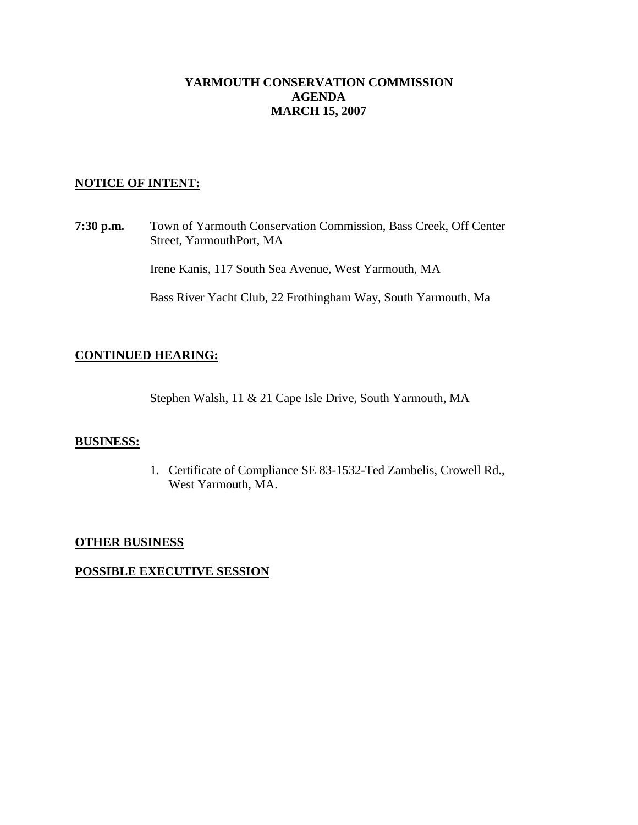## **YARMOUTH CONSERVATION COMMISSION AGENDA MARCH 15, 2007**

### **NOTICE OF INTENT:**

**7:30 p.m.** Town of Yarmouth Conservation Commission, Bass Creek, Off Center Street, YarmouthPort, MA

Irene Kanis, 117 South Sea Avenue, West Yarmouth, MA

Bass River Yacht Club, 22 Frothingham Way, South Yarmouth, Ma

## **CONTINUED HEARING:**

Stephen Walsh, 11 & 21 Cape Isle Drive, South Yarmouth, MA

### **BUSINESS:**

1. Certificate of Compliance SE 83-1532-Ted Zambelis, Crowell Rd., West Yarmouth, MA.

#### **OTHER BUSINESS**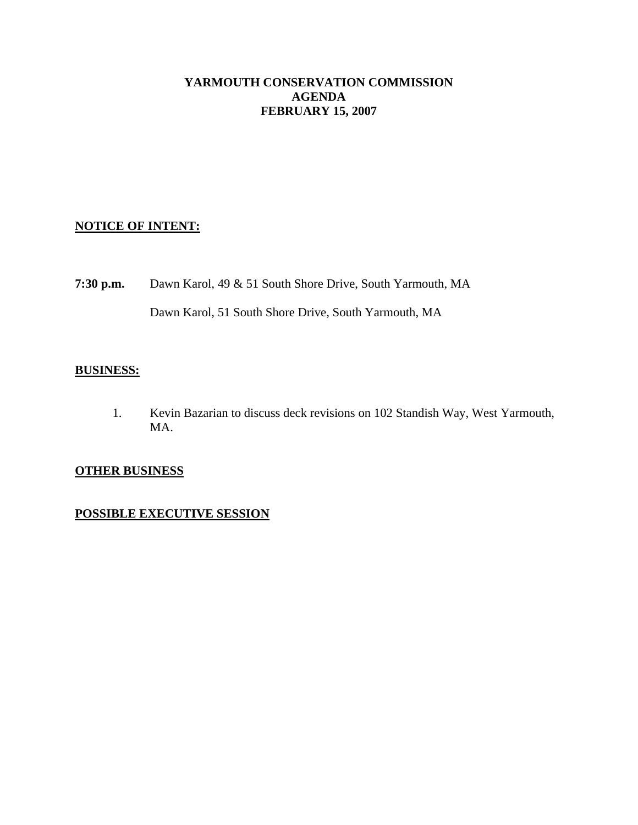## **YARMOUTH CONSERVATION COMMISSION AGENDA FEBRUARY 15, 2007**

## **NOTICE OF INTENT:**

**7:30 p.m.** Dawn Karol, 49 & 51 South Shore Drive, South Yarmouth, MA Dawn Karol, 51 South Shore Drive, South Yarmouth, MA

## **BUSINESS:**

1. Kevin Bazarian to discuss deck revisions on 102 Standish Way, West Yarmouth, MA.

## **OTHER BUSINESS**